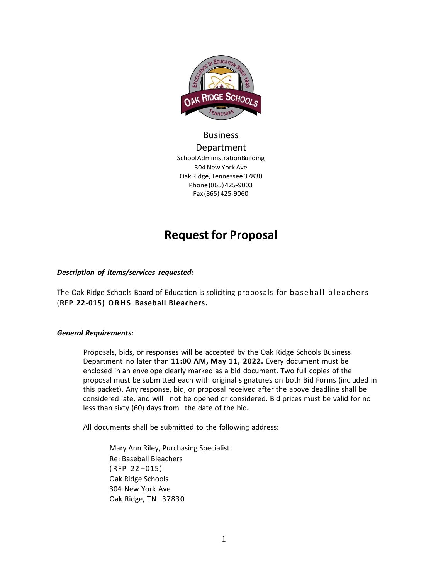

# Business Department SchoolAdministrationBuilding 304 New York Ave Oak Ridge, Tennessee 37830 Phone(865)425-9003 Fax (865) 425-9060

# **Request for Proposal**

### *Description of items/services requested:*

The Oak Ridge Schools Board of Education is soliciting proposals for baseball bleachers (**RFP 22-015) ORHS Baseball Bleachers.**

### *General Requirements:*

Proposals, bids, or responses will be accepted by the Oak Ridge Schools Business Department no later than **11:00 AM, May 11, 2022.** Every document must be enclosed in an envelope clearly marked as a bid document. Two full copies of the proposal must be submitted each with original signatures on both Bid Forms (included in this packet). Any response, bid, or proposal received after the above deadline shall be considered late, and will not be opened or considered. Bid prices must be valid for no less than sixty (60) days from the date of the bid**.**

All documents shall be submitted to the following address:

Mary Ann Riley, Purchasing Specialist Re: Baseball Bleachers (RFP 22 –015) Oak Ridge Schools 304 New York Ave Oak Ridge, TN 37830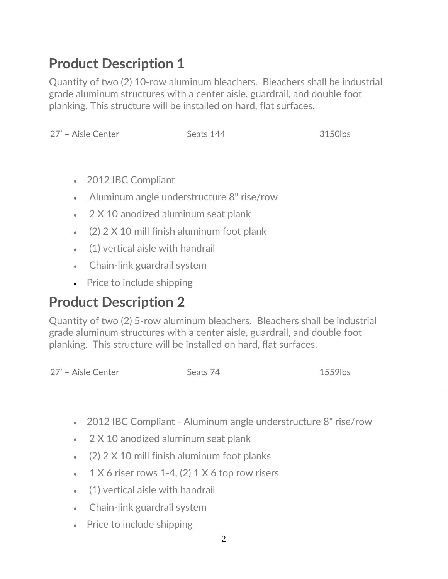# **Product Description 1**

Quantity of two (2) 10-row aluminum bleachers. Bleachers shall be industrial grade aluminum structures with a center aisle, guardrail, and double foot planking. This structure will be installed on hard, flat surfaces.

| 27' - Aisle Center | Seats 144 | 3150lbs |
|--------------------|-----------|---------|
|                    |           |         |

- 2012 IBC Compliant
- Aluminum angle understructure 8" rise/row
- 2 X 10 anodized aluminum seat plank
- (2) 2 X 10 mill finish aluminum foot plank
- (1) vertical aisle with handrail
- Chain-link guardrail system
- Price to include shipping

# **Product Description 2**

Quantity of two (2) 5-row aluminum bleachers. Bleachers shall be industrial grade aluminum structures with a center aisle, guardrail, and double foot planking. This structure will be installed on hard, flat surfaces.

| 27' - Aisle Center<br>Seats 74 | 1559lbs |
|--------------------------------|---------|
|--------------------------------|---------|

- 2012 IBC Compliant Aluminum angle understructure 8" rise/row
- 2 X 10 anodized aluminum seat plank
- (2) 2 X 10 mill finish aluminum foot planks
- $1 \times 6$  riser rows 1-4, (2) 1  $\times$  6 top row risers
- (1) vertical aisle with handrail
- Chain-link guardrail system
- Price to include shipping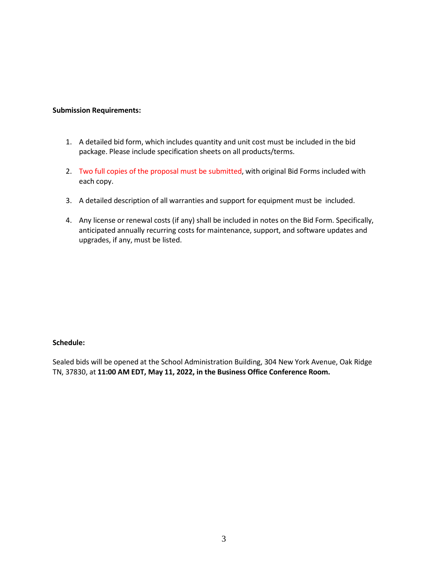#### **Submission Requirements:**

- 1. A detailed bid form, which includes quantity and unit cost must be included in the bid package. Please include specification sheets on all products/terms.
- 2. Two full copies of the proposal must be submitted, with original Bid Forms included with each copy.
- 3. A detailed description of all warranties and support for equipment must be included.
- 4. Any license or renewal costs (if any) shall be included in notes on the Bid Form. Specifically, anticipated annually recurring costs for maintenance, support, and software updates and upgrades, if any, must be listed.

#### **Schedule:**

Sealed bids will be opened at the School Administration Building, 304 New York Avenue, Oak Ridge TN, 37830, at **11:00 AM EDT, May 11, 2022, in the Business Office Conference Room.**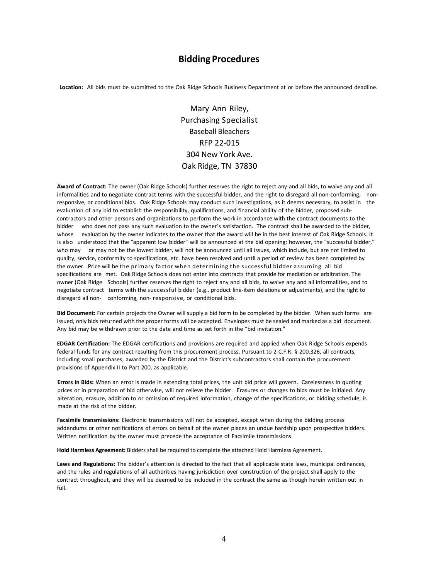# **Bidding Procedures**

**Location:** All bids must be submitted to the Oak Ridge Schools Business Department at or before the announced deadline.

Mary Ann Riley, Purchasing Specialist Baseball Bleachers RFP 22-015 304 New York Ave. Oak Ridge, TN 37830

**Award of Contract:** The owner (Oak Ridge Schools) further reserves the right to reject any and all bids, to waive any and all informalities and to negotiate contract terms with the successful bidder, and the right to disregard all non-conforming, nonresponsive, or conditional bids. Oak Ridge Schools may conduct such investigations, as it deems necessary, to assist in the evaluation of any bid to establish the responsibility, qualifications, and financial ability of the bidder, proposed subcontractors and other persons and organizations to perform the work in accordance with the contract documents to the bidder who does not pass any such evaluation to the owner's satisfaction. The contract shall be awarded to the bidder, whose evaluation by the owner indicates to the owner that the award will be in the best interest of Oak Ridge Schools. It is also understood that the "apparent low bidder" will be announced at the bid opening; however, the "successful bidder," who may or may not be the lowest bidder, will not be announced until all issues, which include, but are not limited to quality, service, conformity to specifications, etc. have been resolved and until a period of review has been completed by the owner. Price will be the primary factor when determining the successful bidder assuming all bid specifications are met. Oak Ridge Schools does not enter into contracts that provide for mediation or arbitration. The owner (Oak Ridge Schools) further reserves the right to reject any and all bids, to waive any and all informalities, and to negotiate contract terms with the successful bidder (e.g., product line-item deletions or adjustments), and the right to disregard all non- conforming, non- responsive, or conditional bids.

**Bid Document:** For certain projects the Owner will supply a bid form to be completed by the bidder. When such forms are issued, only bids returned with the proper forms will be accepted. Envelopes must be sealed and marked as a bid document. Any bid may be withdrawn prior to the date and time as set forth in the "bid invitation."

**EDGAR Certification:** The EDGAR certifications and provisions are required and applied when Oak Ridge Schools expends federal funds for any contract resulting from this procurement process. Pursuant to 2 C.F.R. § 200.326, all contracts, including small purchases, awarded by the District and the District's subcontractors shall contain the procurement provisions of Appendix II to Part 200, as applicable.

**Errors in Bids:** When an error is made in extending total prices, the unit bid price will govern. Carelessness in quoting prices or in preparation of bid otherwise, will not relieve the bidder. Erasures or changes to bids must be initialed. Any alteration, erasure, addition to or omission of required information, change of the specifications, or bidding schedule, is made at the risk of the bidder.

**Facsimile transmissions:** Electronic transmissions will not be accepted, except when during the bidding process addendums or other notifications of errors on behalf of the owner places an undue hardship upon prospective bidders. Written notification by the owner must precede the acceptance of Facsimile transmissions.

**Hold Harmless Agreement:** Bidders shall be required to complete the attached Hold Harmless Agreement.

**Laws and Regulations:** The bidder's attention is directed to the fact that all applicable state laws, municipal ordinances, and the rules and regulations of all authorities having jurisdiction over construction of the project shall apply to the contract throughout, and they will be deemed to be included in the contract the same as though herein written out in full.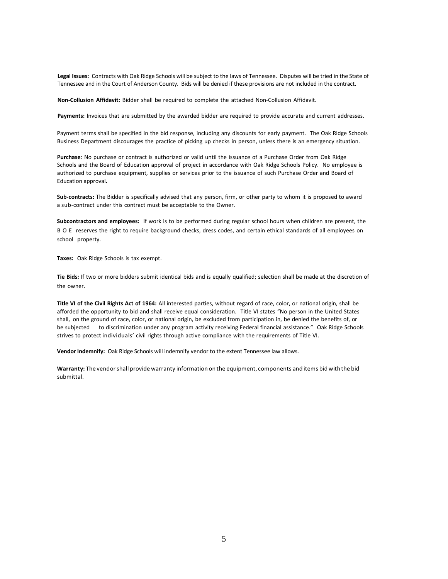**Legal Issues:** Contracts with Oak Ridge Schools will be subject to the laws of Tennessee. Disputes will be tried in the State of Tennessee and in the Court of Anderson County. Bids will be denied if these provisions are not included in the contract.

**Non-Collusion Affidavit:** Bidder shall be required to complete the attached Non-Collusion Affidavit.

**Payments:** Invoices that are submitted by the awarded bidder are required to provide accurate and current addresses.

Payment terms shall be specified in the bid response, including any discounts for early payment. The Oak Ridge Schools Business Department discourages the practice of picking up checks in person, unless there is an emergency situation.

**Purchase**: No purchase or contract is authorized or valid until the issuance of a Purchase Order from Oak Ridge Schools and the Board of Education approval of project in accordance with Oak Ridge Schools Policy. No employee is authorized to purchase equipment, supplies or services prior to the issuance of such Purchase Order and Board of Education approval**.**

**Sub-contracts:** The Bidder is specifically advised that any person, firm, or other party to whom it is proposed to award a sub-contract under this contract must be acceptable to the Owner.

**Subcontractors and employees:** If work is to be performed during regular school hours when children are present, the BOE reserves the right to require background checks, dress codes, and certain ethical standards of all employees on school property.

**Taxes:** Oak Ridge Schools is tax exempt.

**Tie Bids:** If two or more bidders submit identical bids and is equally qualified; selection shall be made at the discretion of the owner.

**Title VI of the Civil Rights Act of 1964:** All interested parties, without regard of race, color, or national origin, shall be afforded the opportunity to bid and shall receive equal consideration. Title VI states "No person in the United States shall, on the ground of race, color, or national origin, be excluded from participation in, be denied the benefits of, or be subjected to discrimination under any program activity receiving Federal financial assistance." Oak Ridge Schools strives to protect individuals' civil rights through active compliance with the requirements of Title VI.

**Vendor Indemnify:** Oak Ridge Schools will indemnify vendor to the extent Tennessee law allows.

**Warranty:** The vendorshall provide warranty information on the equipment, components and items bid with the bid submittal.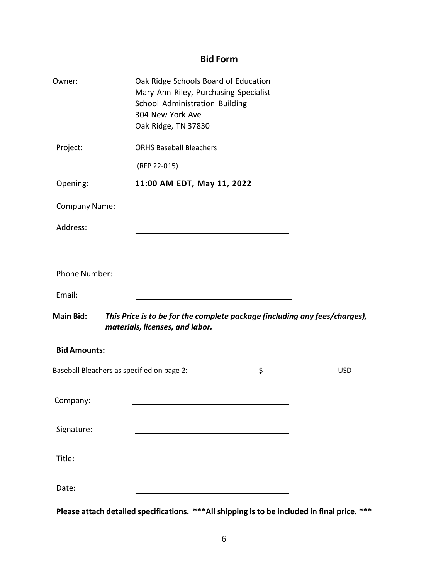# **Bid Form**

| Owner:                                     | Oak Ridge Schools Board of Education<br>Mary Ann Riley, Purchasing Specialist<br>School Administration Building<br>304 New York Ave<br>Oak Ridge, TN 37830 |                            |  |
|--------------------------------------------|------------------------------------------------------------------------------------------------------------------------------------------------------------|----------------------------|--|
| Project:                                   | <b>ORHS Baseball Bleachers</b>                                                                                                                             |                            |  |
|                                            | (RFP 22-015)                                                                                                                                               |                            |  |
| Opening:                                   | 11:00 AM EDT, May 11, 2022                                                                                                                                 |                            |  |
| <b>Company Name:</b>                       |                                                                                                                                                            |                            |  |
| Address:                                   |                                                                                                                                                            |                            |  |
|                                            |                                                                                                                                                            |                            |  |
| Phone Number:                              | <u> 1989 - Johann Barbara, martxa al III-lea (h. 1989).</u>                                                                                                |                            |  |
| Email:                                     |                                                                                                                                                            |                            |  |
| <b>Main Bid:</b>                           | This Price is to be for the complete package (including any fees/charges),<br>materials, licenses, and labor.                                              |                            |  |
| <b>Bid Amounts:</b>                        |                                                                                                                                                            |                            |  |
| Baseball Bleachers as specified on page 2: |                                                                                                                                                            | $\mathsf{S}$<br><b>USD</b> |  |
| Company:                                   |                                                                                                                                                            |                            |  |
| Signature:                                 |                                                                                                                                                            |                            |  |
| Title:                                     |                                                                                                                                                            |                            |  |
| Date:                                      |                                                                                                                                                            |                            |  |

**Please attach detailed specifications. \*\*\*All shipping is to be included in final price. \*\*\***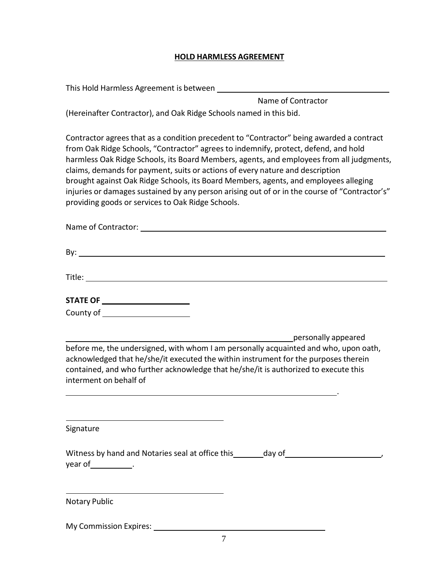# **HOLD HARMLESS AGREEMENT**

| This Hold Harmless Agreement is between                                                                                                                                                                                                                                                                                                                                                                                                                                                                                                                                                                    |
|------------------------------------------------------------------------------------------------------------------------------------------------------------------------------------------------------------------------------------------------------------------------------------------------------------------------------------------------------------------------------------------------------------------------------------------------------------------------------------------------------------------------------------------------------------------------------------------------------------|
| Name of Contractor                                                                                                                                                                                                                                                                                                                                                                                                                                                                                                                                                                                         |
| (Hereinafter Contractor), and Oak Ridge Schools named in this bid.                                                                                                                                                                                                                                                                                                                                                                                                                                                                                                                                         |
| Contractor agrees that as a condition precedent to "Contractor" being awarded a contract<br>from Oak Ridge Schools, "Contractor" agrees to indemnify, protect, defend, and hold<br>harmless Oak Ridge Schools, its Board Members, agents, and employees from all judgments,<br>claims, demands for payment, suits or actions of every nature and description<br>brought against Oak Ridge Schools, its Board Members, agents, and employees alleging<br>injuries or damages sustained by any person arising out of or in the course of "Contractor's"<br>providing goods or services to Oak Ridge Schools. |
| Name of Contractor:                                                                                                                                                                                                                                                                                                                                                                                                                                                                                                                                                                                        |

| By:                                |  |  |  |
|------------------------------------|--|--|--|
|                                    |  |  |  |
| Title:                             |  |  |  |
|                                    |  |  |  |
| <b>STATE OF</b>                    |  |  |  |
| County of $\overline{\phantom{a}}$ |  |  |  |
|                                    |  |  |  |
|                                    |  |  |  |

personally appeared before me, the undersigned, with whom I am personally acquainted and who, upon oath, acknowledged that he/she/it executed the within instrument for the purposes therein contained, and who further acknowledge that he/she/it is authorized to execute this interment on behalf of

.

Signature

| Witness by hand and Notaries seal at office this | day of |  |
|--------------------------------------------------|--------|--|
| year of                                          |        |  |

Notary Public

My Commission Expires: \_\_\_\_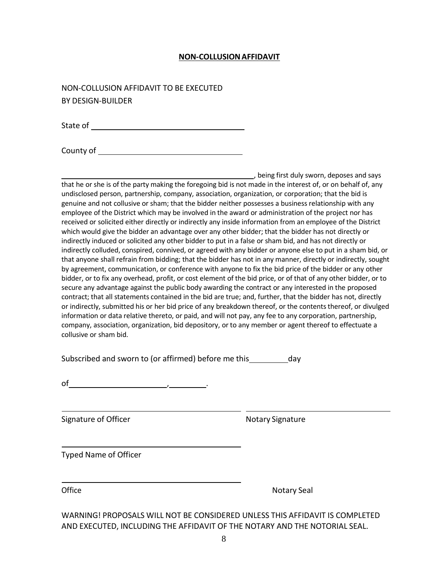## **NON-COLLUSIONAFFIDAVIT**

NON-COLLUSION AFFIDAVIT TO BE EXECUTED BY DESIGN-BUILDER

State of **State of State of Australian State of Australian** State of  $\overline{S}$ 

County of

, being first duly sworn, deposes and says that he or she is of the party making the foregoing bid is not made in the interest of, or on behalf of, any undisclosed person, partnership, company, association, organization, or corporation; that the bid is genuine and not collusive or sham; that the bidder neither possesses a business relationship with any employee of the District which may be involved in the award or administration of the project nor has received or solicited either directly or indirectly any inside information from an employee of the District which would give the bidder an advantage over any other bidder; that the bidder has not directly or indirectly induced or solicited any other bidder to put in a false or sham bid, and has not directly or indirectly colluded, conspired, connived, or agreed with any bidder or anyone else to put in a sham bid, or that anyone shall refrain from bidding; that the bidder has not in any manner, directly or indirectly, sought by agreement, communication, or conference with anyone to fix the bid price of the bidder or any other bidder, or to fix any overhead, profit, or cost element of the bid price, or of that of any other bidder, or to secure any advantage against the public body awarding the contract or any interested in the proposed contract; that all statements contained in the bid are true; and, further, that the bidder has not, directly or indirectly, submitted his or her bid price of any breakdown thereof, or the contentsthereof, or divulged information or data relative thereto, or paid, and will not pay, any fee to any corporation, partnership, company, association, organization, bid depository, or to any member or agent thereof to effectuate a collusive or sham bid.

| Subscribed and sworn to (or affirmed) before me this |  | day |
|------------------------------------------------------|--|-----|
|------------------------------------------------------|--|-----|

Signature of Officer Notary Signature Notary Signature

Typed Name of Officer

Office Notary Seal

WARNING! PROPOSALS WILL NOT BE CONSIDERED UNLESS THIS AFFIDAVIT IS COMPLETED AND EXECUTED, INCLUDING THE AFFIDAVIT OF THE NOTARY AND THE NOTORIAL SEAL.